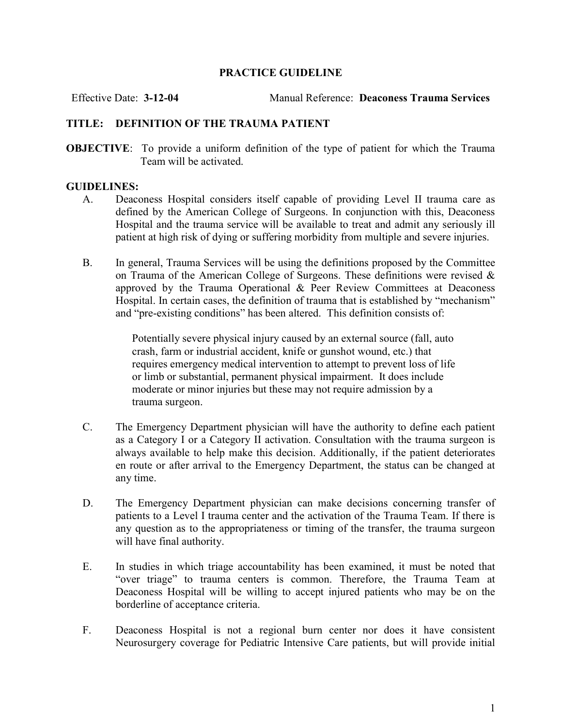## PRACTICE GUIDELINE

Effective Date: 3-12-04 Manual Reference: Deaconess Trauma Services

## TITLE: DEFINITION OF THE TRAUMA PATIENT

OBJECTIVE: To provide a uniform definition of the type of patient for which the Trauma Team will be activated.

## GUIDELINES:

- A. Deaconess Hospital considers itself capable of providing Level II trauma care as defined by the American College of Surgeons. In conjunction with this, Deaconess Hospital and the trauma service will be available to treat and admit any seriously ill patient at high risk of dying or suffering morbidity from multiple and severe injuries.
- B. In general, Trauma Services will be using the definitions proposed by the Committee on Trauma of the American College of Surgeons. These definitions were revised  $\&$ approved by the Trauma Operational & Peer Review Committees at Deaconess Hospital. In certain cases, the definition of trauma that is established by "mechanism" and "pre-existing conditions" has been altered. This definition consists of:

Potentially severe physical injury caused by an external source (fall, auto crash, farm or industrial accident, knife or gunshot wound, etc.) that requires emergency medical intervention to attempt to prevent loss of life or limb or substantial, permanent physical impairment. It does include moderate or minor injuries but these may not require admission by a trauma surgeon.

- C. The Emergency Department physician will have the authority to define each patient as a Category I or a Category II activation. Consultation with the trauma surgeon is always available to help make this decision. Additionally, if the patient deteriorates en route or after arrival to the Emergency Department, the status can be changed at any time.
- D. The Emergency Department physician can make decisions concerning transfer of patients to a Level I trauma center and the activation of the Trauma Team. If there is any question as to the appropriateness or timing of the transfer, the trauma surgeon will have final authority.
- E. In studies in which triage accountability has been examined, it must be noted that "over triage" to trauma centers is common. Therefore, the Trauma Team at Deaconess Hospital will be willing to accept injured patients who may be on the borderline of acceptance criteria.
- F. Deaconess Hospital is not a regional burn center nor does it have consistent Neurosurgery coverage for Pediatric Intensive Care patients, but will provide initial